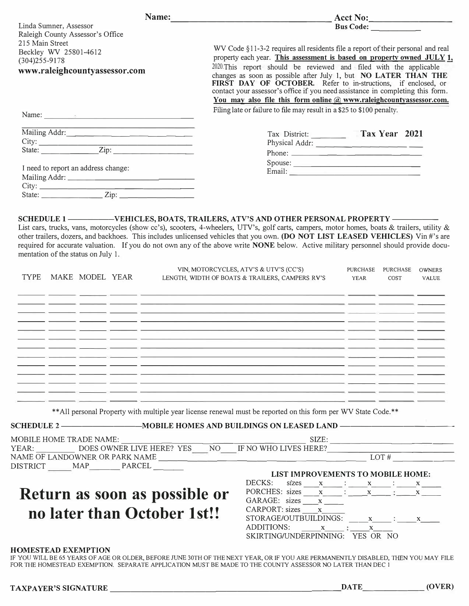|                                                            | $\text{Acct No:}\n$                                                                                                                                                           |
|------------------------------------------------------------|-------------------------------------------------------------------------------------------------------------------------------------------------------------------------------|
| Linda Sumner, Assessor<br>Raleigh County Assessor's Office |                                                                                                                                                                               |
| 215 Main Street                                            |                                                                                                                                                                               |
| Beckley WV 25801-4612                                      | WV Code §11-3-2 requires all residents file a report of their personal and real                                                                                               |
| $(304)255 - 9178$                                          | property each year. This assessment is based on property owned JULY 1,<br>2020. This report should be reviewed and filed with the applicable                                  |
| www.raleighcountyassessor.com                              | changes as soon as possible after July 1, but NO LATER THAN THE                                                                                                               |
|                                                            | FIRST DAY OF OCTOBER. Refer to in-structions, if enclosed, or                                                                                                                 |
|                                                            | contact your assessor's office if you need assistance in completing this form.<br>You may also file this form online $(a)$ www.raleighcountyassessor.com.                     |
|                                                            | Filing late or failure to file may result in a \$25 to \$100 penalty.                                                                                                         |
| Name: $\qquad \qquad$                                      |                                                                                                                                                                               |
| Mailing Addr:                                              | Tax District: Tax Year 2021                                                                                                                                                   |
|                                                            | Physical Addr:                                                                                                                                                                |
|                                                            |                                                                                                                                                                               |
|                                                            | Spouse:                                                                                                                                                                       |
| I need to report an address change:                        |                                                                                                                                                                               |
|                                                            |                                                                                                                                                                               |
|                                                            |                                                                                                                                                                               |
|                                                            |                                                                                                                                                                               |
|                                                            |                                                                                                                                                                               |
|                                                            |                                                                                                                                                                               |
|                                                            | <u> 1989 - Andrea Garrison, Amerikaansk politiker (d. 1989)</u><br><u>المستحقق المستحقق المستحقق المستحقق المستخدمات المستخدمات المستخدمات المستخدمات المستخدمات المستخدم</u> |
| the company of the company of the company of               | <u> 1989 - Andrea San Angel, andre angel, angel, angel, angel, angel, angel, angel, angel, angel, angel, angel, an</u>                                                        |
|                                                            |                                                                                                                                                                               |
|                                                            | ** All personal Property with multiple year license renewal must be reported on this form per WV State Code.**                                                                |
|                                                            |                                                                                                                                                                               |
|                                                            | SCHEDULE 2 —————————————————MOBILE HOMES AND BUILDINGS ON LEASED LAND ———————————                                                                                             |
|                                                            |                                                                                                                                                                               |
|                                                            |                                                                                                                                                                               |
|                                                            |                                                                                                                                                                               |
|                                                            | LIST IMPROVEMENTS TO MOBILE HOME:                                                                                                                                             |
|                                                            | DECKS:                                                                                                                                                                        |
|                                                            | sizes $x$ $\cdot$ $x$ $\cdot$ $x$ $\cdot$ $x$<br>PORCHES: sizes $x$ : $x$ $x$ : $x$ $x$ $x$                                                                                   |
| DISTRICT MAP PARCEL<br>Return as soon as possible or       | GARAGE: sizes $x$                                                                                                                                                             |
| no later than October 1st!!                                | $CARPORT: sizes$ $x$<br>$STORAGE/OUTBULDINGS:$ $x$ $\cdot$ $\cdot$ $x$                                                                                                        |
|                                                            | ADDITIONS: x : x                                                                                                                                                              |
|                                                            | SKIRTING/UNDERPINNING: YES OR NO                                                                                                                                              |

IF YOU WILL BE 65 YEARS OF AGE OR OLDER, BEFORE JUNE 30TH OF THE NEXT YEAR, OR IF YOU ARE PERMANENTLY DISABLED, THEN YOU MAY FILE FOR THE HOMESTEAD EXEMPTION. SEPARATE APPLICATION MUST BE MADE TO THE COUNTY ASSESSOR NO LATER THAN DEC 1